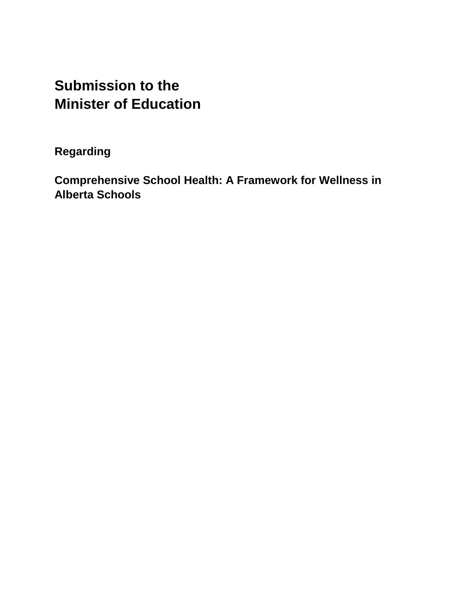# **Submission to the Minister of Education**

**Regarding**

**Comprehensive School Health: A Framework for Wellness in Alberta Schools**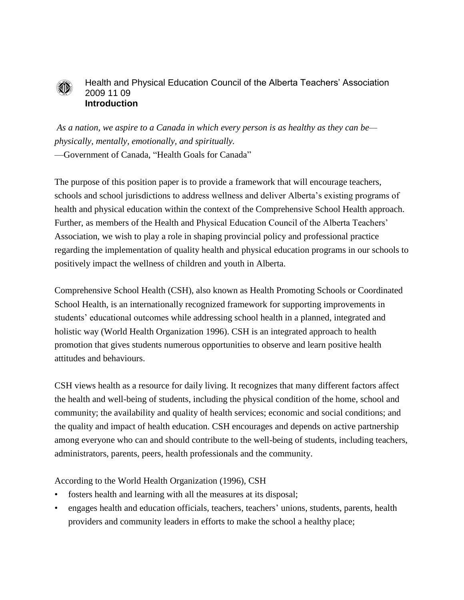

#### Health and Physical Education Council of the Alberta Teachers' Association 2009 11 09 **Introduction**

*As a nation, we aspire to a Canada in which every person is as healthy as they can be physically, mentally, emotionally, and spiritually.*

—Government of Canada, "Health Goals for Canada"

The purpose of this position paper is to provide a framework that will encourage teachers, schools and school jurisdictions to address wellness and deliver Alberta's existing programs of health and physical education within the context of the Comprehensive School Health approach. Further, as members of the Health and Physical Education Council of the Alberta Teachers' Association, we wish to play a role in shaping provincial policy and professional practice regarding the implementation of quality health and physical education programs in our schools to positively impact the wellness of children and youth in Alberta.

Comprehensive School Health (CSH), also known as Health Promoting Schools or Coordinated School Health, is an internationally recognized framework for supporting improvements in students' educational outcomes while addressing school health in a planned, integrated and holistic way (World Health Organization 1996). CSH is an integrated approach to health promotion that gives students numerous opportunities to observe and learn positive health attitudes and behaviours.

CSH views health as a resource for daily living. It recognizes that many different factors affect the health and well-being of students, including the physical condition of the home, school and community; the availability and quality of health services; economic and social conditions; and the quality and impact of health education. CSH encourages and depends on active partnership among everyone who can and should contribute to the well-being of students, including teachers, administrators, parents, peers, health professionals and the community.

According to the World Health Organization (1996), CSH

- fosters health and learning with all the measures at its disposal;
- engages health and education officials, teachers, teachers' unions, students, parents, health providers and community leaders in efforts to make the school a healthy place;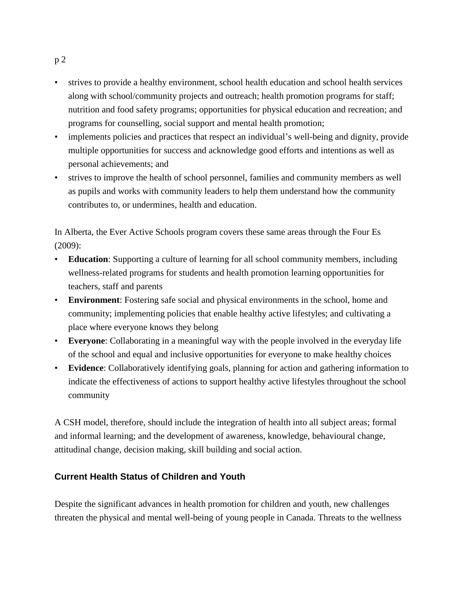- strives to provide a healthy environment, school health education and school health services along with school/community projects and outreach; health promotion programs for staff; nutrition and food safety programs; opportunities for physical education and recreation; and programs for counselling, social support and mental health promotion;
- implements policies and practices that respect an individual's well-being and dignity, provide multiple opportunities for success and acknowledge good efforts and intentions as well as personal achievements; and
- strives to improve the health of school personnel, families and community members as well as pupils and works with community leaders to help them understand how the community contributes to, or undermines, health and education.

In Alberta, the Ever Active Schools program covers these same areas through the Four Es (2009):

- **Education**: Supporting a culture of learning for all school community members, including wellness-related programs for students and health promotion learning opportunities for teachers, staff and parents
- **Environment**: Fostering safe social and physical environments in the school, home and community; implementing policies that enable healthy active lifestyles; and cultivating a place where everyone knows they belong
- **Everyone**: Collaborating in a meaningful way with the people involved in the everyday life of the school and equal and inclusive opportunities for everyone to make healthy choices
- **Evidence**: Collaboratively identifying goals, planning for action and gathering information to indicate the effectiveness of actions to support healthy active lifestyles throughout the school community

A CSH model, therefore, should include the integration of health into all subject areas; formal and informal learning; and the development of awareness, knowledge, behavioural change, attitudinal change, decision making, skill building and social action.

# **Current Health Status of Children and Youth**

Despite the significant advances in health promotion for children and youth, new challenges threaten the physical and mental well-being of young people in Canada. Threats to the wellness

#### p 2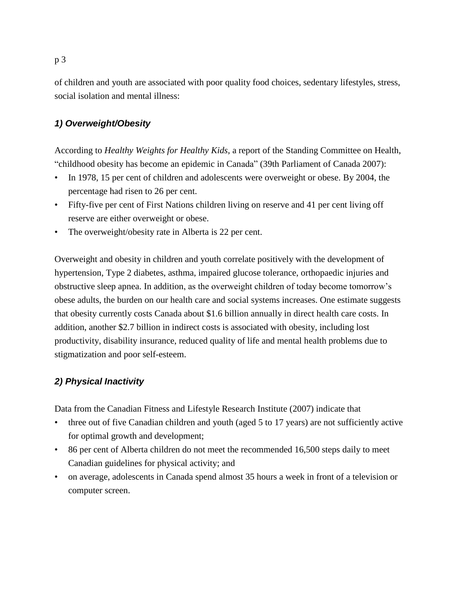of children and youth are associated with poor quality food choices, sedentary lifestyles, stress, social isolation and mental illness:

# *1) Overweight/Obesity*

According to *Healthy Weights for Healthy Kids*, a report of the Standing Committee on Health, "childhood obesity has become an epidemic in Canada" (39th Parliament of Canada 2007):

- In 1978, 15 per cent of children and adolescents were overweight or obese. By 2004, the percentage had risen to 26 per cent.
- Fifty-five per cent of First Nations children living on reserve and 41 per cent living off reserve are either overweight or obese.
- The overweight/obesity rate in Alberta is 22 per cent.

Overweight and obesity in children and youth correlate positively with the development of hypertension, Type 2 diabetes, asthma, impaired glucose tolerance, orthopaedic injuries and obstructive sleep apnea. In addition, as the overweight children of today become tomorrow's obese adults, the burden on our health care and social systems increases. One estimate suggests that obesity currently costs Canada about \$1.6 billion annually in direct health care costs. In addition, another \$2.7 billion in indirect costs is associated with obesity, including lost productivity, disability insurance, reduced quality of life and mental health problems due to stigmatization and poor self-esteem.

## *2) Physical Inactivity*

Data from the Canadian Fitness and Lifestyle Research Institute (2007) indicate that

- three out of five Canadian children and youth (aged 5 to 17 years) are not sufficiently active for optimal growth and development;
- 86 per cent of Alberta children do not meet the recommended 16,500 steps daily to meet Canadian guidelines for physical activity; and
- on average, adolescents in Canada spend almost 35 hours a week in front of a television or computer screen.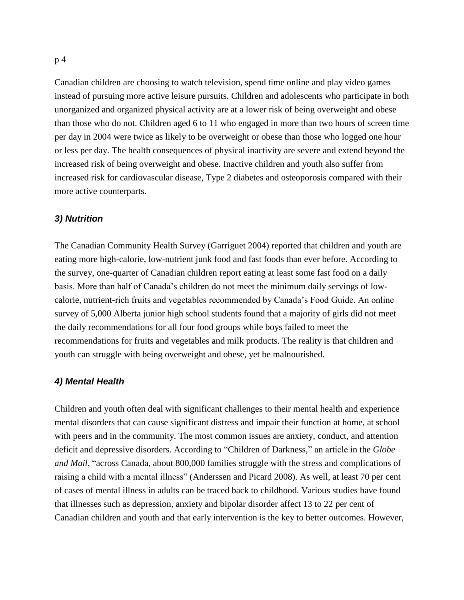Canadian children are choosing to watch television, spend time online and play video games instead of pursuing more active leisure pursuits. Children and adolescents who participate in both unorganized and organized physical activity are at a lower risk of being overweight and obese than those who do not. Children aged 6 to 11 who engaged in more than two hours of screen time per day in 2004 were twice as likely to be overweight or obese than those who logged one hour or less per day. The health consequences of physical inactivity are severe and extend beyond the increased risk of being overweight and obese. Inactive children and youth also suffer from increased risk for cardiovascular disease, Type 2 diabetes and osteoporosis compared with their more active counterparts.

#### *3) Nutrition*

The Canadian Community Health Survey (Garriguet 2004) reported that children and youth are eating more high-calorie, low-nutrient junk food and fast foods than ever before. According to the survey, one-quarter of Canadian children report eating at least some fast food on a daily basis. More than half of Canada's children do not meet the minimum daily servings of lowcalorie, nutrient-rich fruits and vegetables recommended by Canada's Food Guide. An online survey of 5,000 Alberta junior high school students found that a majority of girls did not meet the daily recommendations for all four food groups while boys failed to meet the recommendations for fruits and vegetables and milk products. The reality is that children and youth can struggle with being overweight and obese, yet be malnourished.

#### *4) Mental Health*

Children and youth often deal with significant challenges to their mental health and experience mental disorders that can cause significant distress and impair their function at home, at school with peers and in the community. The most common issues are anxiety, conduct, and attention deficit and depressive disorders. According to "Children of Darkness," an article in the *Globe and Mail*, "across Canada, about 800,000 families struggle with the stress and complications of raising a child with a mental illness" (Anderssen and Picard 2008). As well, at least 70 per cent of cases of mental illness in adults can be traced back to childhood. Various studies have found that illnesses such as depression, anxiety and bipolar disorder affect 13 to 22 per cent of Canadian children and youth and that early intervention is the key to better outcomes. However,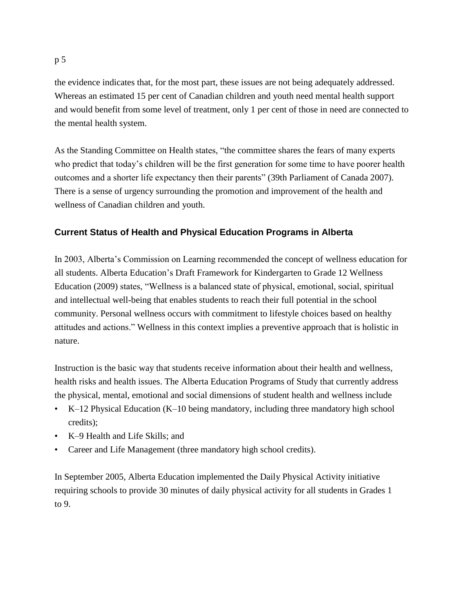#### p 5

the evidence indicates that, for the most part, these issues are not being adequately addressed. Whereas an estimated 15 per cent of Canadian children and youth need mental health support and would benefit from some level of treatment, only 1 per cent of those in need are connected to the mental health system.

As the Standing Committee on Health states, "the committee shares the fears of many experts who predict that today's children will be the first generation for some time to have poorer health outcomes and a shorter life expectancy then their parents" (39th Parliament of Canada 2007). There is a sense of urgency surrounding the promotion and improvement of the health and wellness of Canadian children and youth.

# **Current Status of Health and Physical Education Programs in Alberta**

In 2003, Alberta's Commission on Learning recommended the concept of wellness education for all students. Alberta Education's Draft Framework for Kindergarten to Grade 12 Wellness Education (2009) states, "Wellness is a balanced state of physical, emotional, social, spiritual and intellectual well-being that enables students to reach their full potential in the school community. Personal wellness occurs with commitment to lifestyle choices based on healthy attitudes and actions." Wellness in this context implies a preventive approach that is holistic in nature.

Instruction is the basic way that students receive information about their health and wellness, health risks and health issues. The Alberta Education Programs of Study that currently address the physical, mental, emotional and social dimensions of student health and wellness include

- K–12 Physical Education (K–10 being mandatory, including three mandatory high school credits);
- K–9 Health and Life Skills; and
- Career and Life Management (three mandatory high school credits).

In September 2005, Alberta Education implemented the Daily Physical Activity initiative requiring schools to provide 30 minutes of daily physical activity for all students in Grades 1 to 9.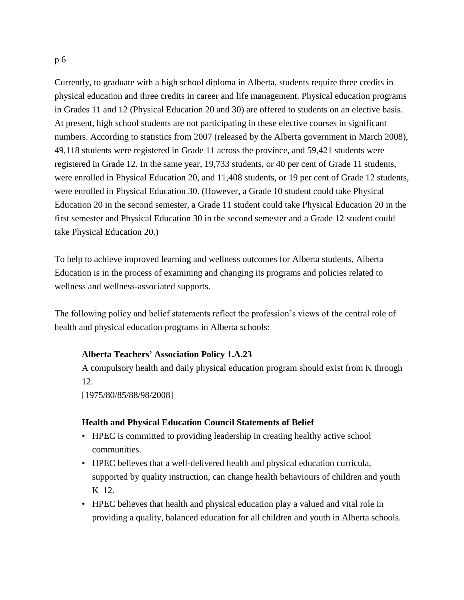Currently, to graduate with a high school diploma in Alberta, students require three credits in physical education and three credits in career and life management. Physical education programs in Grades 11 and 12 (Physical Education 20 and 30) are offered to students on an elective basis. At present, high school students are not participating in these elective courses in significant numbers. According to statistics from 2007 (released by the Alberta government in March 2008), 49,118 students were registered in Grade 11 across the province, and 59,421 students were registered in Grade 12. In the same year, 19,733 students, or 40 per cent of Grade 11 students, were enrolled in Physical Education 20, and 11,408 students, or 19 per cent of Grade 12 students, were enrolled in Physical Education 30. (However, a Grade 10 student could take Physical Education 20 in the second semester, a Grade 11 student could take Physical Education 20 in the first semester and Physical Education 30 in the second semester and a Grade 12 student could take Physical Education 20.)

To help to achieve improved learning and wellness outcomes for Alberta students, Alberta Education is in the process of examining and changing its programs and policies related to wellness and wellness-associated supports.

The following policy and belief statements reflect the profession's views of the central role of health and physical education programs in Alberta schools:

#### **Alberta Teachers' Association Policy 1.A.23**

A compulsory health and daily physical education program should exist from K through 12.

[1975/80/85/88/98/2008]

#### **Health and Physical Education Council Statements of Belief**

- HPEC is committed to providing leadership in creating healthy active school communities.
- HPEC believes that a well-delivered health and physical education curricula, supported by quality instruction, can change health behaviours of children and youth  $K-12$ .
- HPEC believes that health and physical education play a valued and vital role in providing a quality, balanced education for all children and youth in Alberta schools.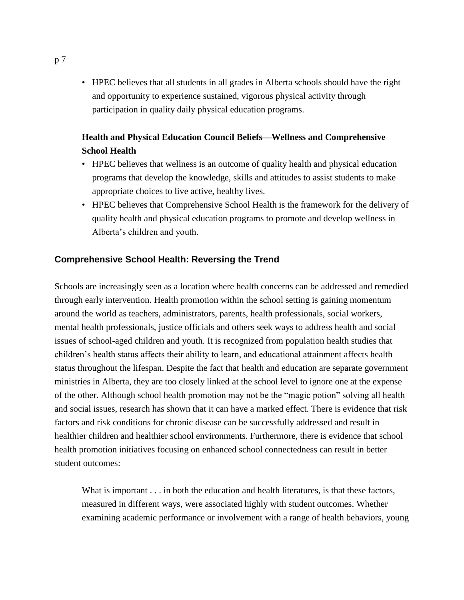• HPEC believes that all students in all grades in Alberta schools should have the right and opportunity to experience sustained, vigorous physical activity through participation in quality daily physical education programs.

# **Health and Physical Education Council Beliefs—Wellness and Comprehensive School Health**

- HPEC believes that wellness is an outcome of quality health and physical education programs that develop the knowledge, skills and attitudes to assist students to make appropriate choices to live active, healthy lives.
- HPEC believes that Comprehensive School Health is the framework for the delivery of quality health and physical education programs to promote and develop wellness in Alberta's children and youth.

## **Comprehensive School Health: Reversing the Trend**

Schools are increasingly seen as a location where health concerns can be addressed and remedied through early intervention. Health promotion within the school setting is gaining momentum around the world as teachers, administrators, parents, health professionals, social workers, mental health professionals, justice officials and others seek ways to address health and social issues of school-aged children and youth. It is recognized from population health studies that children's health status affects their ability to learn, and educational attainment affects health status throughout the lifespan. Despite the fact that health and education are separate government ministries in Alberta, they are too closely linked at the school level to ignore one at the expense of the other. Although school health promotion may not be the "magic potion" solving all health and social issues, research has shown that it can have a marked effect. There is evidence that risk factors and risk conditions for chronic disease can be successfully addressed and result in healthier children and healthier school environments. Furthermore, there is evidence that school health promotion initiatives focusing on enhanced school connectedness can result in better student outcomes:

What is important  $\dots$  in both the education and health literatures, is that these factors, measured in different ways, were associated highly with student outcomes. Whether examining academic performance or involvement with a range of health behaviors, young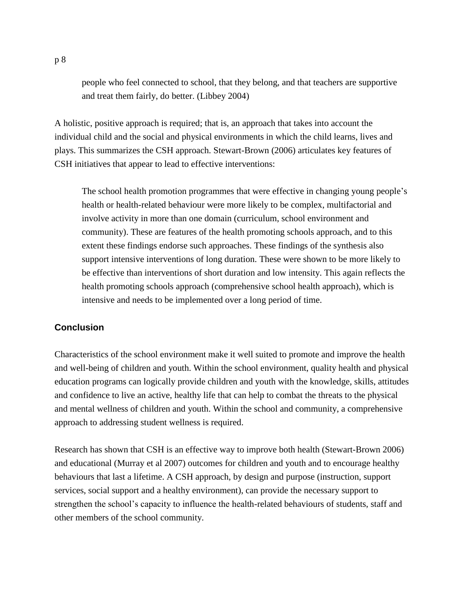people who feel connected to school, that they belong, and that teachers are supportive and treat them fairly, do better. (Libbey 2004)

A holistic, positive approach is required; that is, an approach that takes into account the individual child and the social and physical environments in which the child learns, lives and plays. This summarizes the CSH approach. Stewart-Brown (2006) articulates key features of CSH initiatives that appear to lead to effective interventions:

The school health promotion programmes that were effective in changing young people's health or health-related behaviour were more likely to be complex, multifactorial and involve activity in more than one domain (curriculum, school environment and community). These are features of the health promoting schools approach, and to this extent these findings endorse such approaches. These findings of the synthesis also support intensive interventions of long duration. These were shown to be more likely to be effective than interventions of short duration and low intensity. This again reflects the health promoting schools approach (comprehensive school health approach), which is intensive and needs to be implemented over a long period of time.

## **Conclusion**

Characteristics of the school environment make it well suited to promote and improve the health and well-being of children and youth. Within the school environment, quality health and physical education programs can logically provide children and youth with the knowledge, skills, attitudes and confidence to live an active, healthy life that can help to combat the threats to the physical and mental wellness of children and youth. Within the school and community, a comprehensive approach to addressing student wellness is required.

Research has shown that CSH is an effective way to improve both health (Stewart-Brown 2006) and educational (Murray et al 2007) outcomes for children and youth and to encourage healthy behaviours that last a lifetime. A CSH approach, by design and purpose (instruction, support services, social support and a healthy environment), can provide the necessary support to strengthen the school's capacity to influence the health-related behaviours of students, staff and other members of the school community.

p 8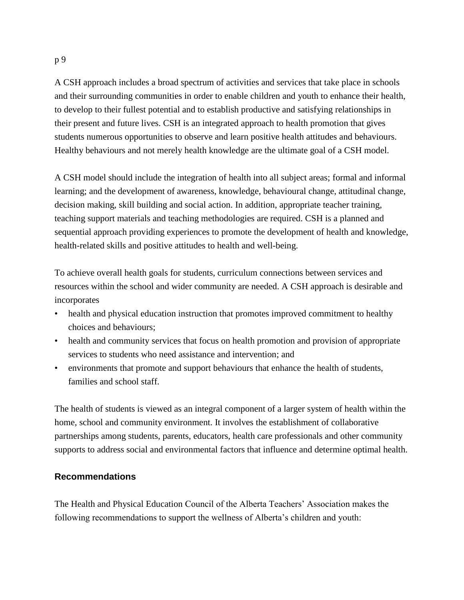A CSH approach includes a broad spectrum of activities and services that take place in schools and their surrounding communities in order to enable children and youth to enhance their health, to develop to their fullest potential and to establish productive and satisfying relationships in their present and future lives. CSH is an integrated approach to health promotion that gives students numerous opportunities to observe and learn positive health attitudes and behaviours. Healthy behaviours and not merely health knowledge are the ultimate goal of a CSH model.

A CSH model should include the integration of health into all subject areas; formal and informal learning; and the development of awareness, knowledge, behavioural change, attitudinal change, decision making, skill building and social action. In addition, appropriate teacher training, teaching support materials and teaching methodologies are required. CSH is a planned and sequential approach providing experiences to promote the development of health and knowledge, health-related skills and positive attitudes to health and well-being.

To achieve overall health goals for students, curriculum connections between services and resources within the school and wider community are needed. A CSH approach is desirable and incorporates

- health and physical education instruction that promotes improved commitment to healthy choices and behaviours;
- health and community services that focus on health promotion and provision of appropriate services to students who need assistance and intervention; and
- environments that promote and support behaviours that enhance the health of students, families and school staff.

The health of students is viewed as an integral component of a larger system of health within the home, school and community environment. It involves the establishment of collaborative partnerships among students, parents, educators, health care professionals and other community supports to address social and environmental factors that influence and determine optimal health.

## **Recommendations**

The Health and Physical Education Council of the Alberta Teachers' Association makes the following recommendations to support the wellness of Alberta's children and youth: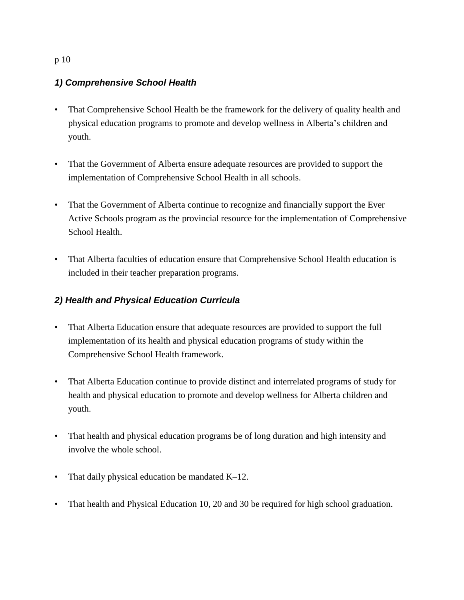# p 10

# *1) Comprehensive School Health*

- That Comprehensive School Health be the framework for the delivery of quality health and physical education programs to promote and develop wellness in Alberta's children and youth.
- That the Government of Alberta ensure adequate resources are provided to support the implementation of Comprehensive School Health in all schools.
- That the Government of Alberta continue to recognize and financially support the Ever Active Schools program as the provincial resource for the implementation of Comprehensive School Health.
- That Alberta faculties of education ensure that Comprehensive School Health education is included in their teacher preparation programs.

# *2) Health and Physical Education Curricula*

- That Alberta Education ensure that adequate resources are provided to support the full implementation of its health and physical education programs of study within the Comprehensive School Health framework.
- That Alberta Education continue to provide distinct and interrelated programs of study for health and physical education to promote and develop wellness for Alberta children and youth.
- That health and physical education programs be of long duration and high intensity and involve the whole school.
- That daily physical education be mandated K–12.
- That health and Physical Education 10, 20 and 30 be required for high school graduation.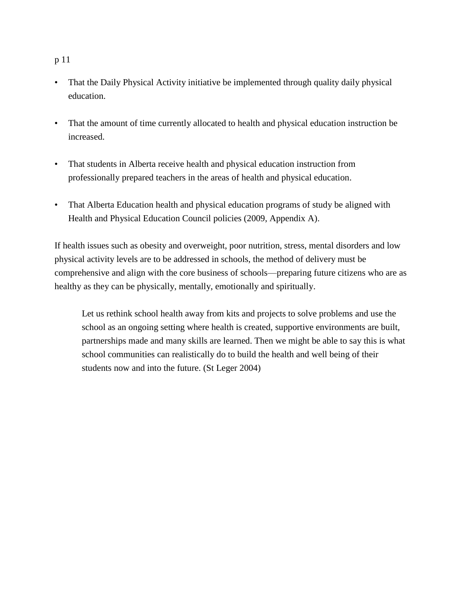## p 11

- That the Daily Physical Activity initiative be implemented through quality daily physical education.
- That the amount of time currently allocated to health and physical education instruction be increased.
- That students in Alberta receive health and physical education instruction from professionally prepared teachers in the areas of health and physical education.
- That Alberta Education health and physical education programs of study be aligned with Health and Physical Education Council policies (2009, Appendix A).

If health issues such as obesity and overweight, poor nutrition, stress, mental disorders and low physical activity levels are to be addressed in schools, the method of delivery must be comprehensive and align with the core business of schools—preparing future citizens who are as healthy as they can be physically, mentally, emotionally and spiritually.

Let us rethink school health away from kits and projects to solve problems and use the school as an ongoing setting where health is created, supportive environments are built, partnerships made and many skills are learned. Then we might be able to say this is what school communities can realistically do to build the health and well being of their students now and into the future. (St Leger 2004)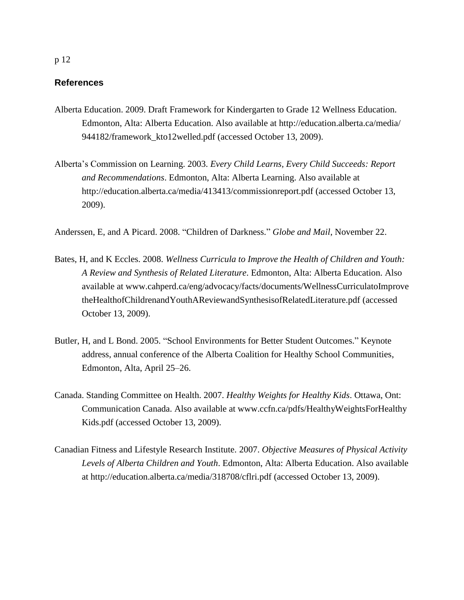#### **References**

- Alberta Education. 2009. Draft Framework for Kindergarten to Grade 12 Wellness Education. Edmonton, Alta: Alberta Education. Also available at http://education.alberta.ca/media/ 944182/framework\_kto12welled.pdf (accessed October 13, 2009).
- Alberta's Commission on Learning. 2003. *Every Child Learns, Every Child Succeeds: Report and Recommendations*. Edmonton, Alta: Alberta Learning. Also available at http://education.alberta.ca/media/413413/commissionreport.pdf (accessed October 13, 2009).

Anderssen, E, and A Picard. 2008. "Children of Darkness." *Globe and Mail*, November 22.

- Bates, H, and K Eccles. 2008. *Wellness Curricula to Improve the Health of Children and Youth: A Review and Synthesis of Related Literature*. Edmonton, Alta: Alberta Education. Also available at www.cahperd.ca/eng/advocacy/facts/documents/WellnessCurriculatoImprove theHealthofChildrenandYouthAReviewandSynthesisofRelatedLiterature.pdf (accessed October 13, 2009).
- Butler, H, and L Bond. 2005. "School Environments for Better Student Outcomes." Keynote address, annual conference of the Alberta Coalition for Healthy School Communities, Edmonton, Alta, April 25–26.
- Canada. Standing Committee on Health. 2007. *Healthy Weights for Healthy Kids*. Ottawa, Ont: Communication Canada. Also available at www.ccfn.ca/pdfs/HealthyWeightsForHealthy Kids.pdf (accessed October 13, 2009).
- Canadian Fitness and Lifestyle Research Institute. 2007. *Objective Measures of Physical Activity Levels of Alberta Children and Youth*. Edmonton, Alta: Alberta Education. Also available at http://education.alberta.ca/media/318708/cflri.pdf (accessed October 13, 2009).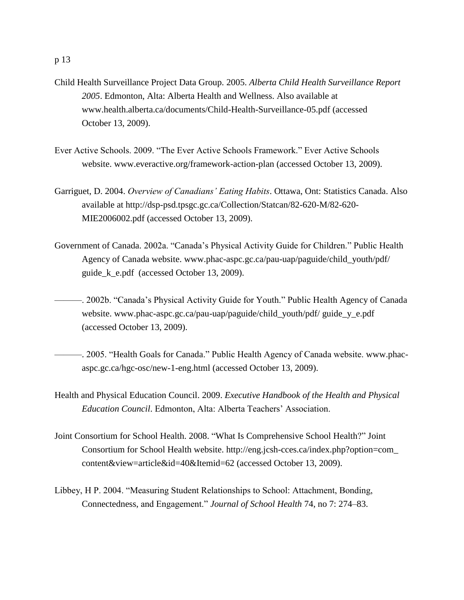- Child Health Surveillance Project Data Group. 2005. *Alberta Child Health Surveillance Report 2005*. Edmonton, Alta: Alberta Health and Wellness. Also available at www.health.alberta.ca/documents/Child-Health-Surveillance-05.pdf (accessed October 13, 2009).
- Ever Active Schools. 2009. "The Ever Active Schools Framework." Ever Active Schools website. www.everactive.org/framework-action-plan (accessed October 13, 2009).
- Garriguet, D. 2004. *Overview of Canadians' Eating Habits*. Ottawa, Ont: Statistics Canada. Also available at http://dsp-psd.tpsgc.gc.ca/Collection/Statcan/82-620-M/82-620- MIE2006002.pdf (accessed October 13, 2009).
- Government of Canada. 2002a. "Canada's Physical Activity Guide for Children." Public Health Agency of Canada website. www.phac-aspc.gc.ca/pau-uap/paguide/child\_youth/pdf/ guide\_k\_e.pdf (accessed October 13, 2009).
- ———. 2002b. "Canada's Physical Activity Guide for Youth." Public Health Agency of Canada website. www.phac-aspc.gc.ca/pau-uap/paguide/child\_youth/pdf/ guide\_y\_e.pdf (accessed October 13, 2009).
- ———. 2005. "Health Goals for Canada." Public Health Agency of Canada website. www.phacaspc.gc.ca/hgc-osc/new-1-eng.html (accessed October 13, 2009).
- Health and Physical Education Council. 2009. *Executive Handbook of the Health and Physical Education Council*. Edmonton, Alta: Alberta Teachers' Association.
- Joint Consortium for School Health. 2008. "What Is Comprehensive School Health?" Joint Consortium for School Health website. http://eng.jcsh-cces.ca/index.php?option=com\_ content&view=article&id=40&Itemid=62 (accessed October 13, 2009).
- Libbey, H P. 2004. "Measuring Student Relationships to School: Attachment, Bonding, Connectedness, and Engagement." *Journal of School Health* 74, no 7: 274–83.